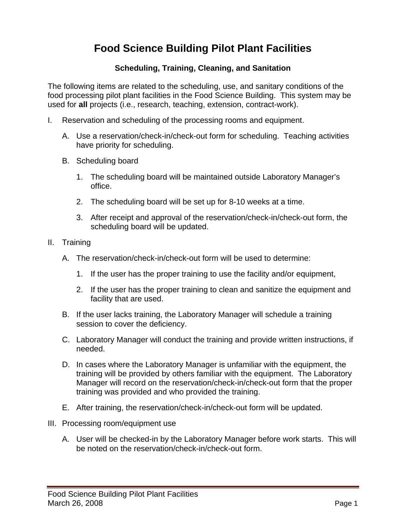## **Food Science Building Pilot Plant Facilities**

## **Scheduling, Training, Cleaning, and Sanitation**

The following items are related to the scheduling, use, and sanitary conditions of the food processing pilot plant facilities in the Food Science Building. This system may be used for **all** projects (i.e., research, teaching, extension, contract-work).

- I. Reservation and scheduling of the processing rooms and equipment.
	- A. Use a reservation/check-in/check-out form for scheduling. Teaching activities have priority for scheduling.
	- B. Scheduling board
		- 1. The scheduling board will be maintained outside Laboratory Manager's office.
		- 2. The scheduling board will be set up for 8-10 weeks at a time.
		- 3. After receipt and approval of the reservation/check-in/check-out form, the scheduling board will be updated.
- II. Training
	- A. The reservation/check-in/check-out form will be used to determine:
		- 1. If the user has the proper training to use the facility and/or equipment,
		- 2. If the user has the proper training to clean and sanitize the equipment and facility that are used.
	- B. If the user lacks training, the Laboratory Manager will schedule a training session to cover the deficiency.
	- C. Laboratory Manager will conduct the training and provide written instructions, if needed.
	- D. In cases where the Laboratory Manager is unfamiliar with the equipment, the training will be provided by others familiar with the equipment. The Laboratory Manager will record on the reservation/check-in/check-out form that the proper training was provided and who provided the training.
	- E. After training, the reservation/check-in/check-out form will be updated.
- III. Processing room/equipment use
	- A. User will be checked-in by the Laboratory Manager before work starts. This will be noted on the reservation/check-in/check-out form.